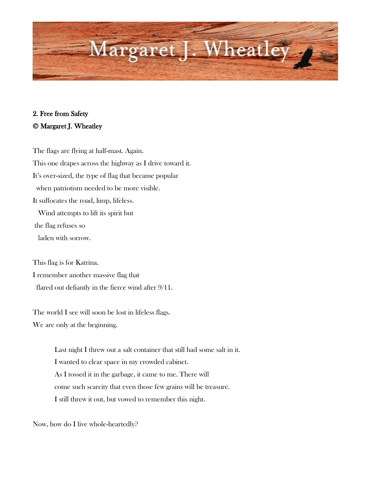

## 2. Free from Safety © Margaret J. Wheatley

The flags are flying at half-mast. Again. This one drapes across the highway as I drive toward it. It's over-sized, the type of flag that became popular when patriotism needed to be more visible. It suffocates the road, limp, lifeless. Wind attempts to lift its spirit but the flag refuses so laden with sorrow.

This flag is for Katrina. I remember another massive flag that flared out defiantly in the fierce wind after 9/11.

The world I see will soon be lost in lifeless flags. We are only at the beginning.

> Last night I threw out a salt container that still had some salt in it. I wanted to clear space in my crowded cabinet. As I tossed it in the garbage, it came to me. There will come such scarcity that even those few grains will be treasure. I still threw it out, but vowed to remember this night.

Now, how do I live whole-heartedly?